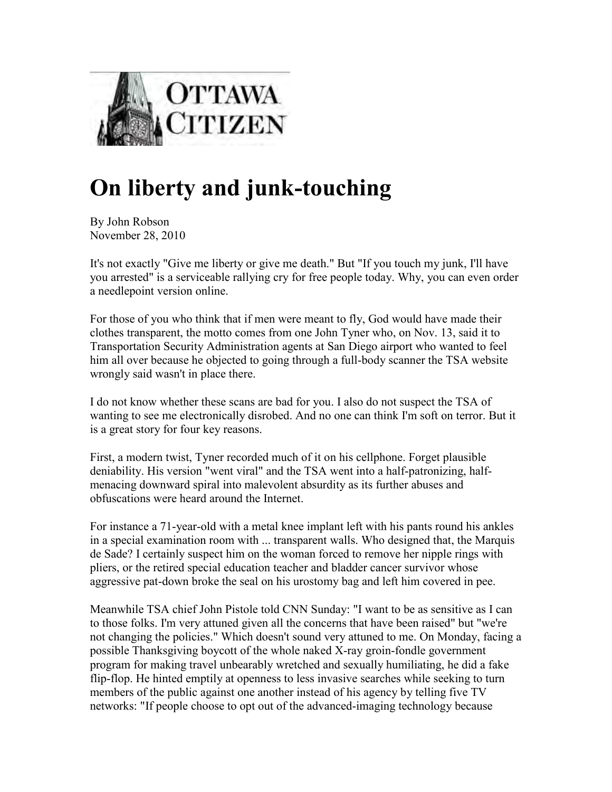

## **On liberty and junk-touching**

By John Robson November 28, 2010

It's not exactly "Give me liberty or give me death." But "If you touch my junk, I'll have you arrested" is a serviceable rallying cry for free people today. Why, you can even order a needlepoint version online.

For those of you who think that if men were meant to fly, God would have made their clothes transparent, the motto comes from one John Tyner who, on Nov. 13, said it to Transportation Security Administration agents at San Diego airport who wanted to feel him all over because he objected to going through a full-body scanner the TSA website wrongly said wasn't in place there.

I do not know whether these scans are bad for you. I also do not suspect the TSA of wanting to see me electronically disrobed. And no one can think I'm soft on terror. But it is a great story for four key reasons.

First, a modern twist, Tyner recorded much of it on his cellphone. Forget plausible deniability. His version "went viral" and the TSA went into a half-patronizing, halfmenacing downward spiral into malevolent absurdity as its further abuses and obfuscations were heard around the Internet.

For instance a 71-year-old with a metal knee implant left with his pants round his ankles in a special examination room with ... transparent walls. Who designed that, the Marquis de Sade? I certainly suspect him on the woman forced to remove her nipple rings with pliers, or the retired special education teacher and bladder cancer survivor whose aggressive pat-down broke the seal on his urostomy bag and left him covered in pee.

Meanwhile TSA chief John Pistole told CNN Sunday: "I want to be as sensitive as I can to those folks. I'm very attuned given all the concerns that have been raised" but "we're not changing the policies." Which doesn't sound very attuned to me. On Monday, facing a possible Thanksgiving boycott of the whole naked X-ray groin-fondle government program for making travel unbearably wretched and sexually humiliating, he did a fake flip-flop. He hinted emptily at openness to less invasive searches while seeking to turn members of the public against one another instead of his agency by telling five TV networks: "If people choose to opt out of the advanced-imaging technology because